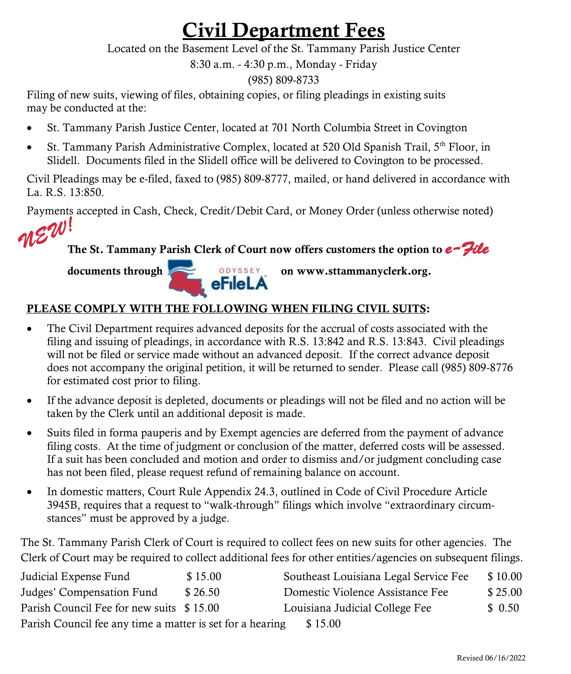## Civil Department Fees

Located on the Basement Level of the St. Tammany Parish Justice Center

8:30 a.m. - 4:30 p.m., Monday - Friday

(985) 809-8733

Filing of new suits, viewing of files, obtaining copies, or filing pleadings in existing suits may be conducted at the:

- St. Tammany Parish Justice Center, located at 701 North Columbia Street in Covington
- St. Tammany Parish Administrative Complex, located at 520 Old Spanish Trail, 5<sup>th</sup> Floor, in Slidell. Documents filed in the Slidell office will be delivered to Covington to be processed.

Civil Pleadings may be e-filed, faxed to (985) 809-8777, mailed, or hand delivered in accordance with La. R.S. 13:850.

Payments accepted in Cash, Check, Credit/Debit Card, or Money Order (unless otherwise noted)



The St. Tammany Parish Clerk of Court now offers customers the option to *e-File* 



## PLEASE COMPLY WITH THE FOLLOWING WHEN FILING CIVIL SUITS:

- The Civil Department requires advanced deposits for the accrual of costs associated with the filing and issuing of pleadings, in accordance with R.S. 13:842 and R.S. 13:843. Civil pleadings will not be filed or service made without an advanced deposit. If the correct advance deposit does not accompany the original petition, it will be returned to sender. Please call (985) 809-8776 for estimated cost prior to filing.
- If the advance deposit is depleted, documents or pleadings will not be filed and no action will be taken by the Clerk until an additional deposit is made.
- Suits filed in forma pauperis and by Exempt agencies are deferred from the payment of advance filing costs. At the time of judgment or conclusion of the matter, deferred costs will be assessed. If a suit has been concluded and motion and order to dismiss and/or judgment concluding case has not been filed, please request refund of remaining balance on account.
- In domestic matters, Court Rule Appendix 24.3, outlined in Code of Civil Procedure Article 3945B, requires that a request to "walk-through" filings which involve "extraordinary circumstances" must be approved by a judge.

The St. Tammany Parish Clerk of Court is required to collect fees on new suits for other agencies. The Clerk of Court may be required to collect additional fees for other entities/agencies on subsequent filings.

| Judicial Expense Fund                                     | \$15.00 | Southeast Louisiana Legal Service Fee | \$10.00 |
|-----------------------------------------------------------|---------|---------------------------------------|---------|
| Judges' Compensation Fund                                 | \$26.50 | Domestic Violence Assistance Fee      | \$25.00 |
| Parish Council Fee for new suits \$15.00                  |         | Louisiana Judicial College Fee        | \$ 0.50 |
| Parish Council fee any time a matter is set for a hearing |         | \$15.00                               |         |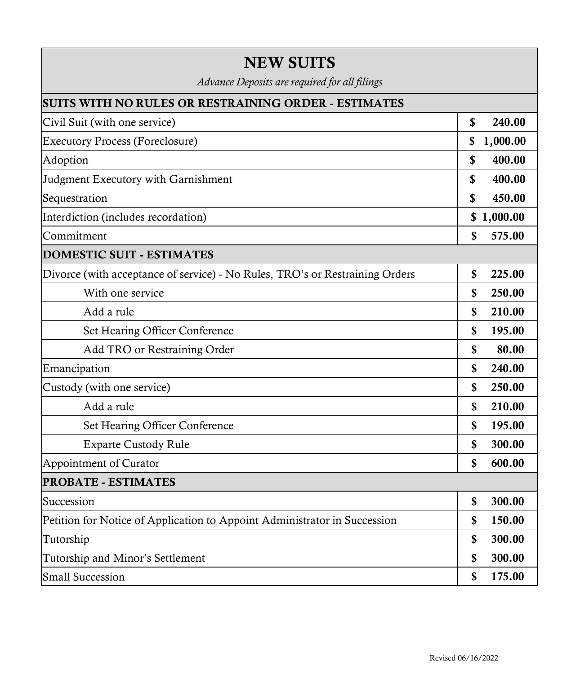| <b>NEW SUITS</b>                                                             |                |  |  |  |
|------------------------------------------------------------------------------|----------------|--|--|--|
| Advance Deposits are required for all filings                                |                |  |  |  |
| <b>SUITS WITH NO RULES OR RESTRAINING ORDER - ESTIMATES</b>                  |                |  |  |  |
| Civil Suit (with one service)                                                | \$<br>240.00   |  |  |  |
| <b>Executory Process (Foreclosure)</b>                                       | 1,000.00<br>\$ |  |  |  |
| Adoption                                                                     | \$<br>400.00   |  |  |  |
| Judgment Executory with Garnishment                                          | \$<br>400.00   |  |  |  |
| Sequestration                                                                | \$<br>450.00   |  |  |  |
| Interdiction (includes recordation)                                          | \$1,000.00     |  |  |  |
| Commitment                                                                   | \$<br>575.00   |  |  |  |
| <b>DOMESTIC SUIT - ESTIMATES</b>                                             |                |  |  |  |
| Divorce (with acceptance of service) - No Rules, TRO's or Restraining Orders | \$<br>225.00   |  |  |  |
| With one service                                                             | \$<br>250.00   |  |  |  |
| Add a rule                                                                   | \$<br>210.00   |  |  |  |
| Set Hearing Officer Conference                                               | \$<br>195.00   |  |  |  |
| Add TRO or Restraining Order                                                 | \$<br>80.00    |  |  |  |
| Emancipation                                                                 | \$<br>240.00   |  |  |  |
| Custody (with one service)                                                   | \$<br>250.00   |  |  |  |
| Add a rule                                                                   | \$<br>210.00   |  |  |  |
| Set Hearing Officer Conference                                               | \$<br>195.00   |  |  |  |
| <b>Exparte Custody Rule</b>                                                  | \$<br>300.00   |  |  |  |
| Appointment of Curator                                                       | \$<br>600.00   |  |  |  |
| <b>PROBATE - ESTIMATES</b>                                                   |                |  |  |  |
| Succession                                                                   | 300.00<br>\$   |  |  |  |
| Petition for Notice of Application to Appoint Administrator in Succession    | \$<br>150.00   |  |  |  |
| Tutorship                                                                    | \$<br>300.00   |  |  |  |
| Tutorship and Minor's Settlement                                             | \$<br>300.00   |  |  |  |
| <b>Small Succession</b>                                                      | \$<br>175.00   |  |  |  |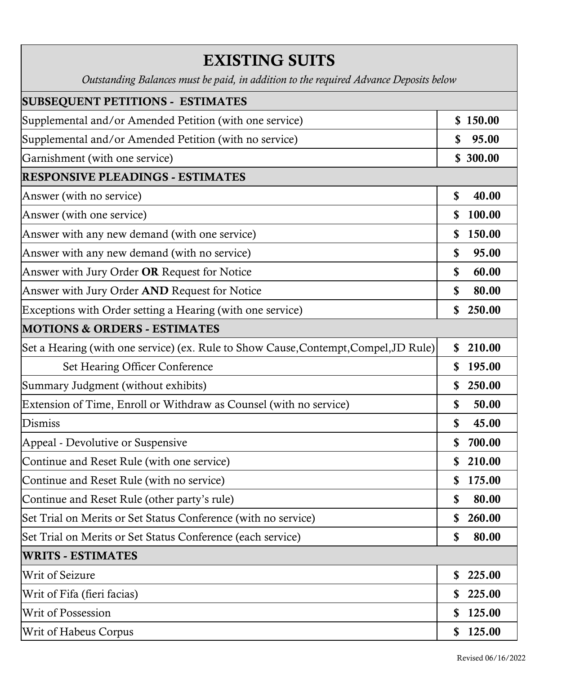| <b>EXISTING SUITS</b>                                                                 |              |  |
|---------------------------------------------------------------------------------------|--------------|--|
| Outstanding Balances must be paid, in addition to the required Advance Deposits below |              |  |
| <b>SUBSEQUENT PETITIONS - ESTIMATES</b>                                               |              |  |
| Supplemental and/or Amended Petition (with one service)                               | \$150.00     |  |
| Supplemental and/or Amended Petition (with no service)                                | 95.00<br>\$  |  |
| Garnishment (with one service)                                                        | \$ 300.00    |  |
| <b>RESPONSIVE PLEADINGS - ESTIMATES</b>                                               |              |  |
| Answer (with no service)                                                              | \$<br>40.00  |  |
| Answer (with one service)                                                             | \$<br>100.00 |  |
| Answer with any new demand (with one service)                                         | S<br>150.00  |  |
| Answer with any new demand (with no service)                                          | \$<br>95.00  |  |
| Answer with Jury Order OR Request for Notice                                          | \$<br>60.00  |  |
| Answer with Jury Order AND Request for Notice                                         | \$<br>80.00  |  |
| Exceptions with Order setting a Hearing (with one service)                            | \$<br>250.00 |  |
| <b>MOTIONS &amp; ORDERS - ESTIMATES</b>                                               |              |  |
| Set a Hearing (with one service) (ex. Rule to Show Cause, Contempt, Compel, JD Rule)  | \$<br>210.00 |  |
| Set Hearing Officer Conference                                                        | \$<br>195.00 |  |
| Summary Judgment (without exhibits)                                                   | 250.00<br>\$ |  |
| Extension of Time, Enroll or Withdraw as Counsel (with no service)                    | 50.00<br>\$  |  |
| <b>Dismiss</b>                                                                        | \$<br>45.00  |  |
| Appeal - Devolutive or Suspensive                                                     | \$<br>700.00 |  |
| Continue and Reset Rule (with one service)                                            | \$<br>210.00 |  |
| Continue and Reset Rule (with no service)                                             | 175.00<br>\$ |  |
| Continue and Reset Rule (other party's rule)                                          | \$<br>80.00  |  |
| Set Trial on Merits or Set Status Conference (with no service)                        | \$<br>260.00 |  |
| Set Trial on Merits or Set Status Conference (each service)                           | \$<br>80.00  |  |
| <b>WRITS - ESTIMATES</b>                                                              |              |  |
| Writ of Seizure                                                                       | 225.00<br>\$ |  |
| Writ of Fifa (fieri facias)                                                           | \$<br>225.00 |  |
| Writ of Possession                                                                    | 125.00<br>\$ |  |
| Writ of Habeus Corpus                                                                 | \$<br>125.00 |  |

٦